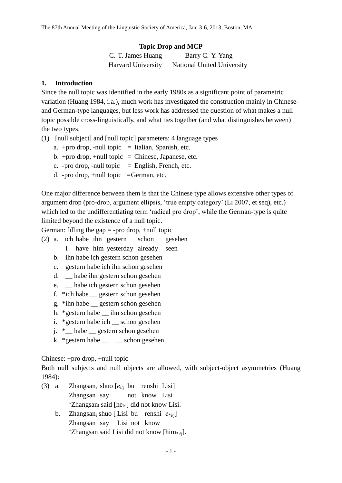## **Topic Drop and MCP**

| C.-T. James Huang         | Barry C.-Y. Yang           |
|---------------------------|----------------------------|
| <b>Harvard University</b> | National United University |

## **1. Introduction**

Since the null topic was identified in the early 1980s as a significant point of parametric variation (Huang 1984, i.a.), much work has investigated the construction mainly in Chineseand German-type languages, but less work has addressed the question of what makes a null topic possible cross-linguistically, and what ties together (and what distinguishes between) the two types.

- (1) [null subject] and [null topic] parameters: 4 language types
	- a. +pro drop, -null topic  $=$  Italian, Spanish, etc.
	- b. +pro drop, +null topic = Chinese, Japanese, etc.
	- c. -pro drop, -null topic  $=$  English, French, etc.
	- d. -pro drop,  $+$ null topic = German, etc.

One major difference between them is that the Chinese type allows extensive other types of argument drop (pro-drop, argument ellipsis, 'true empty category' (Li 2007, et seq), etc.) which led to the undifferentiating term 'radical pro drop', while the German-type is quite limited beyond the existence of a null topic.

German: filling the gap  $=$  -pro drop,  $+$ null topic

- (2) a. ich habe ihn gestern schon gesehen
	- I have him yesterday already seen
	- b. ihn habe ich gestern schon gesehen
	- c. gestern habe ich ihn schon gesehen
	- d. \_\_ habe ihn gestern schon gesehen
	- e. \_\_ habe ich gestern schon gesehen
	- f. \*ich habe \_\_ gestern schon gesehen
	- g. \*ihn habe \_\_ gestern schon gesehen
	- h. \*gestern habe \_\_ ihn schon gesehen
	- i. \*gestern habe ich \_\_ schon gesehen
	- j. \* habe gestern schon gesehen
	- k. \*gestern habe  $\equiv$   $\equiv$  schon gesehen

Chinese: +pro drop, +null topic

Both null subjects and null objects are allowed, with subject-object asymmetries (Huang 1984):

- (3) a. Zhangsan<sup>i</sup> shuo [*e*i/j bu renshi Lisi] Zhangsan say not know Lisi 'Zhangsan<sub>i</sub> said [he<sub>i/i</sub>] did not know Lisi.
	- b. Zhangsan<sub>i</sub> shuo [ Lisi bu renshi  $e_{i,j}$ ] Zhangsan say Lisi not know 'Zhangsan said Lisi did not know [him $_{i,j}$ ].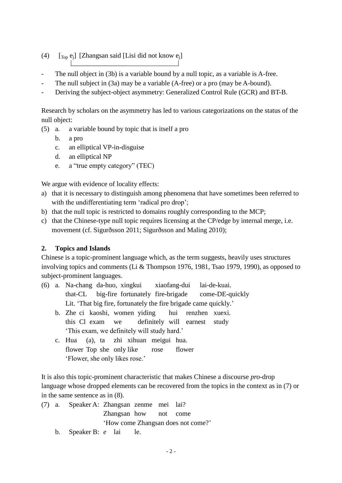- (4)  $[\text{Top } e_j]$  [Zhangsan said [Lisi did not know  $e_j$ ]
- The null object in (3b) is a variable bound by a null topic, as a variable is A-free.
- The null subject in (3a) may be a variable (A-free) or a pro (may be A-bound).
- Deriving the subject-object asymmetry: Generalized Control Rule (GCR) and BT-B.

Research by scholars on the asymmetry has led to various categorizations on the status of the null object:

- (5) a. a variable bound by topic that is itself a pro
	- b. a pro
	- c. an elliptical VP-in-disguise
	- d. an elliptical NP
	- e. a "true empty category" (TEC)

We argue with evidence of locality effects:

- a) that it is necessary to distinguish among phenomena that have sometimes been referred to with the undifferentiating term 'radical pro drop';
- b) that the null topic is restricted to domains roughly corresponding to the MCP;
- c) that the Chinese-type null topic requires licensing at the CP/edge by internal merge, i.e. movement (cf. Sigurðsson 2011; Sigurðsson and Maling 2010);

# **2. Topics and Islands**

Chinese is a topic-prominent language which, as the term suggests, heavily uses structures involving topics and comments (Li & Thompson 1976, 1981, Tsao 1979, 1990), as opposed to subject-prominent languages.

- (6) a. Na-chang da-huo, xingkui xiaofang-dui lai-de-kuai. that-CL big-fire fortunately fire-brigade come-DE-quickly Lit. 'That big fire, fortunately the fire brigade came quickly.'
	- b. Zhe ci kaoshi, women yiding hui renzhen xuexi. this Cl exam we definitely will earnest study 'This exam, we definitely will study hard.'
	- c. Hua (a), ta zhi xihuan meigui hua. flower Top she only like rose flower 'Flower, she only likes rose.'

It is also this topic-prominent characteristic that makes Chinese a discourse *pro*-drop language whose dropped elements can be recovered from the topics in the context as in [\(7\)](#page-1-0) or in the same sentence as in [\(8\)](#page-2-0).

- <span id="page-1-0"></span>(7) a. Speaker A: Zhangsan zenme mei lai? Zhangsan how not come 'How come Zhangsan does not come?'
	- b. Speaker B: *e* lai le.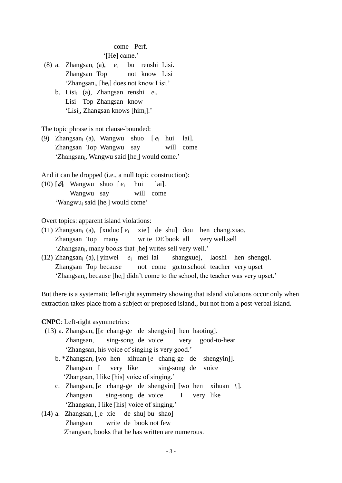## come Perf. '[He] came.'

- <span id="page-2-0"></span>(8) a. Zhangsan<sup>i</sup> (a), *e*<sup>i</sup> bu renshi Lisi. Zhangsan Top not know Lisi 'Zhangsan<sub>i</sub>, [he<sub>i</sub>] does not know Lisi.'
	- b. Lisi<sup>i</sup> (a), Zhangsan renshi *e*<sup>i</sup> . Lisi Top Zhangsan know 'Lisi<sub>i</sub>, Zhangsan knows [him<sub>i</sub>].'

The topic phrase is not clause-bounded:

(9) Zhangsan<sup>i</sup> (a), Wangwu shuo [ *e*<sup>i</sup> hui lai]. Zhangsan Top Wangwu say will come 'Zhangsan<sub>i</sub>, Wangwu said [he<sub>i</sub>] would come.'

And it can be dropped (i.e., a null topic construction):

(10)  $\lceil \phi \rceil$  Wangwu shuo  $\lceil e_i \rceil$  hui lai]. Wangwu say will come 'Wangwu<sup>i</sup> said [hej] would come'

Overt topics: apparent island violations:

- (11) Zhangsan<sub>i</sub> (a), [xuduo  $[e_i$  xie] de shu] dou hen chang.xiao. Zhangsan Top many write DE book all very well.sell 'Zhangsan<sub>i</sub>, many books that [he] writes sell very well.'
- (12) Zhangsan<sup>i</sup> (a),[ yinwei *e*<sup>i</sup> mei lai shangxue], laoshi hen shengqi. Zhangsan Top because not come go.to.school teacher very upset 'Zhangsan<sub>i</sub>, because [he<sub>i</sub>] didn't come to the school, the teacher was very upset.'

But there is a systematic left-right asymmetry showing that island violations occur only when extraction takes place from a subject or preposed island,, but not from a post-verbal island.

## **CNPC**: Left-right asymmetries:

- (13) a. Zhangsan, [[*e* chang-ge de shengyin] hen haoting]. Zhangsan, sing-song de voice very good-to-hear 'Zhangsan, his voice of singing is very good.'
	- b. \*Zhangsan, [wo hen xihuan [*e* chang-ge de shengyin]]. Zhangsan I very like sing-song de voice 'Zhangsan, I like [his] voice of singing.'
	- c. Zhangsan, [*e* chang-ge de shengyin]<sup>i</sup> [wo hen xihuan *t*i]. Zhangsan sing-song de voice I very like 'Zhangsan, I like [his] voice of singing.'
- (14) a. Zhangsan, [[e xie de shu] bu shao] Zhangsan write de book not few Zhangsan, books that he has written are numerous.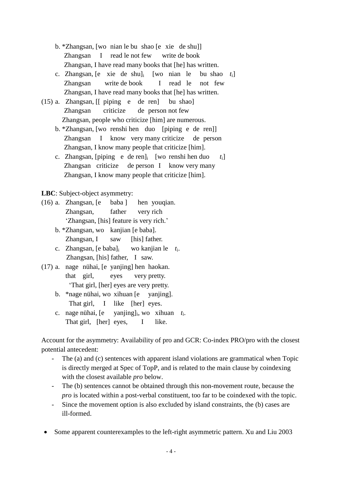- b. \*Zhangsan, [wo nian le bu shao [e xie de shu]] Zhangsan I read le not few write de book Zhangsan, I have read many books that [he] has written.
- c. Zhangsan, [e xie de shu]<sup>i</sup> [wo nian le bu shao *t*i] Zhangsan write de book I read le not few Zhangsan, I have read many books that [he] has written.
- (15) a. Zhangsan, [[ piping e de ren] bu shao] Zhangsan criticize de person not few Zhangsan, people who criticize [him] are numerous.
	- b. \*Zhangsan, [wo renshi hen duo [piping e de ren]] Zhangsan I know very many criticize de person Zhangsan, I know many people that criticize [him].
	- c. Zhangsan, [piping e de ren]<sup>i</sup> [wo renshi hen duo *t*i] Zhangsan criticize de person I know very many Zhangsan, I know many people that criticize [him].

**LBC**: Subject-object asymmetry:

- (16) a. Zhangsan, [e baba ] hen youqian. Zhangsan, father very rich 'Zhangsan, [his] feature is very rich.'
	- b. \*Zhangsan, wo kanjian [e baba]. Zhangsan, I saw [his] father.
	- c. Zhangsan, [e baba]<sub>i</sub> wo kanjian le  $t_i$ . Zhangsan, [his] father, I saw.
- (17) a. nage nühai, [e yanjing] hen haokan. that girl, eyes very pretty. 'That girl, [her] eyes are very pretty.
	- b. \*nage nühai, wo xihuan [e yanjing]. That girl, I like [her] eyes.
	- c. nage nühai,  $[e]$ , wo xihuan *t*<sup>i</sup> . That girl, [her] eyes, I like.

Account for the asymmetry: Availability of pro and GCR: Co-index PRO/pro with the closest potential antecedent:

- The (a) and (c) sentences with apparent island violations are grammatical when Topic is directly merged at Spec of TopP, and is related to the main clause by coindexing with the closest available *pro* below.
- The (b) sentences cannot be obtained through this non-movement route, because the *pro* is located within a post-verbal constituent, too far to be coindexed with the topic.
- Since the movement option is also excluded by island constraints, the (b) cases are ill-formed.
- Some apparent counterexamples to the left-right asymmetric pattern. Xu and Liu 2003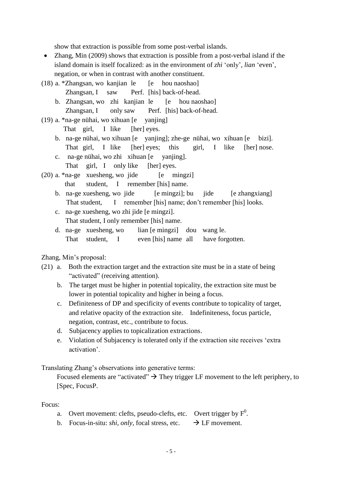show that extraction is possible from some post-verbal islands.

- Zhang, Min (2009) shows that extraction is possible from a post-verbal island if the island domain is itself focalized: as in the environment of *zhi* 'only', *lian* 'even', negation, or when in contrast with another constituent.
- (18) a. \*Zhangsan, wo kanjian le  $[e$  hou naoshao]
	- Zhangsan, I saw Perf. [his] back-of-head. b. Zhangsan, wo zhi kanjian le [e hou naoshao]
	- Zhangsan, I only saw Perf. [his] back-of-head.
- (19) a. \*na-ge nühai, wo xihuan [e yanjing]
	- That girl, I like [her] eyes.
	- b. na-ge nühai, wo xihuan [e yanjing]; zhe-ge nühai, wo xihuan [e bizi]. That girl, I like [her] eyes; this girl, I like [her] nose.
	- c. na-ge nühai, wo zhi xihuan [e yanjing]. That girl, I only like [her] eyes.
- $(20)$  a. \*na-ge xuesheng, wo jide [e mingzi] that student, I remember [his] name.
	- b. na-ge xuesheng, wo jide [e mingzi]; bu jide [e zhangxiang] That student, I remember [his] name; don't remember [his] looks.
	- c. na-ge xuesheng, wo zhi jide [e mingzi]. That student, I only remember [his] name.
	- d. na-ge xuesheng, wo lian [e mingzi] dou wang le. That student, I even [his] name all have forgotten.

Zhang, Min's proposal:

- (21) a. Both the extraction target and the extraction site must be in a state of being "activated" (receiving attention).
	- b. The target must be higher in potential topicality, the extraction site must be lower in potential topicality and higher in being a focus.
	- c. Definiteness of DP and specificity of events contribute to topicality of target, and relative opacity of the extraction site. Indefiniteness, focus particle, negation, contrast, etc., contribute to focus.
	- d. Subjacency applies to topicalization extractions.
	- e. Violation of Subjacency is tolerated only if the extraction site receives 'extra activation'.

Translating Zhang's observations into generative terms:

Focused elements are "activated"  $\rightarrow$  They trigger LF movement to the left periphery, to [Spec, FocusP.

Focus:

- a. Overt movement: clefts, pseudo-clefts, etc. Overt trigger by  $F^0$ .
- b. Focus-in-situ: *shi*, *only*, focal stress, etc.  $\rightarrow$  LF movement.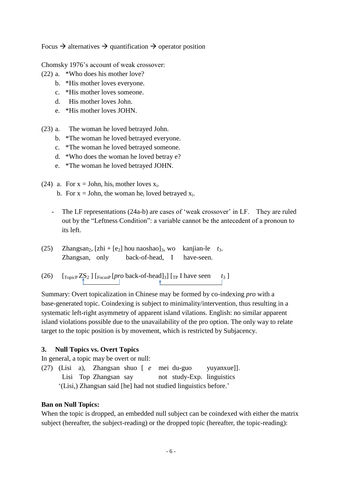Focus  $\rightarrow$  alternatives  $\rightarrow$  quantification  $\rightarrow$  operator position

Chomsky 1976's account of weak crossover:

- (22) a. \*Who does his mother love?
	- b. \*His mother loves everyone.
	- c. \*His mother loves someone.
	- d. His mother loves John.
	- e. \*His mother loves JOHN.
- (23) a. The woman he loved betrayed John.
	- b. \*The woman he loved betrayed everyone.
	- c. \*The woman he loved betrayed someone.
	- d. \*Who does the woman he loved betray e?
	- e. \*The woman he loved betrayed JOHN.
- (24) a. For  $x = John$ , his mother loves  $x_i$ . b. For  $x =$  John, the woman he<sub>i</sub> loved betrayed  $x_i$ .
	- The LF representations (24a-b) are cases of 'weak crossover' in LF. They are ruled out by the "Leftness Condition": a variable cannot be the antecedent of a pronoun to its left.
- (25) Zhangsan<sub>2</sub>, [zhi + [e<sub>2</sub>] hou naoshao]<sub>3</sub>, wo kanjian-le  $t_3$ . Zhangsan, only back-of-head, I have-seen.
- (26)  $\left[\text{TopicP ZS}_2\right] \left[\text{FocusP} \left[ \text{pro back-of-head} \right]_3\right] \left[\text{TP} \right]$  have seen  $t_3$

Summary: Overt topicalization in Chinese may be formed by co-indexing *pro* with a base-generated topic. Coindexing is subject to minimality/intervention, thus resulting in a systematic left-right asymmetry of apparent island vilations. English: no similar apparent island violations possible due to the unavailability of the pro option. The only way to relate target to the topic position is by movement, which is restricted by Subjacency.

## **3. Null Topics vs. Overt Topics**

In general, a topic may be overt or null:

(27) (Lisi a), Zhangsan shuo [ *e* mei du-guo yuyanxue]]. Lisi Top Zhangsan say not study-Exp. linguistics '(Lisi,) Zhangsan said [he] had not studied linguistics before.'

### **Ban on Null Topics:**

When the topic is dropped, an embedded null subject can be coindexed with either the matrix subject (hereafter, the subject-reading) or the dropped topic (hereafter, the topic-reading):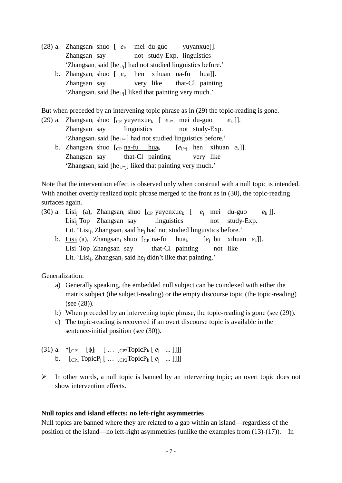- <span id="page-6-2"></span>(28) a. Zhangsan<sup>i</sup> shuo [ *e*i/j mei du-guo yuyanxue]]. Zhangsan say not study-Exp. linguistics 'Zhangsan<sub>i</sub> said [he  $_{ij}$ ] had not studied linguistics before.'
	- b. Zhangsan<sub>i</sub> shuo [  $e_{i/1}$  hen xihuan na-fu hua]]. Zhangsan say very like that-Cl painting 'Zhangsan<sub>i</sub> said [he  $_{i/1}$ ] liked that painting very much.'

But when preceded by an intervening topic phrase as in [\(29\)](#page-6-0) the topic-reading is gone.

- <span id="page-6-0"></span>(29) a. Zhangsan<sub>i</sub> shuo  $[$ cp yuyenxue<sub>k</sub>  $[$   $e_{i^{*}i}$  mei du-guo  $e_k$ ]. Zhangsan say linguistics not study-Exp. 'Zhangsan<sub>i</sub> said [he  $_{i\neq j}$ ] had not studied linguistics before.'
	- b. Zhangsan<sub>i</sub> shuo  $[cp \text{ na-fu } hua_k$   $[e_{i^{*}}]$  hen xihuan  $e_k$ ]. Zhangsan say that-Cl painting very like 'Zhangsan<sub>i</sub> said [he  $_{i\prime}$ <sup>\*</sup>i] liked that painting very much.'

Note that the intervention effect is observed only when construal with a null topic is intended. With another overtly realized topic phrase merged to the front as in [\(30\)](#page-6-1), the topic-reading surfaces again.

- <span id="page-6-1"></span>(30) a. Lisi<sub>i</sub> (a), Zhangsan<sub>i</sub> shuo  $[$ c yuyenxue<sub>k</sub>  $[$   $e_i$  mei du-guo  $e_k$ ]. Lisi<sub>i</sub> Top Zhangsan say linguistics not study-Exp. Lit. 'Lisi<sub>j</sub>, Zhangsan<sub>i</sub> said he<sub>j</sub> had not studied linguistics before.'
	- b. Lisi<sub>i</sub> (a), Zhangsan<sub>i</sub> shuo  $[cp \text{ na-fu } hua_k$   $[e_i \text{ bu } xihuan \text{ } e_k]$ . Lisi Top Zhangsan say that-Cl painting not like Lit. 'Lisi<sub>i</sub>, Zhangsan<sub>i</sub> said he<sub>j</sub> didn't like that painting.'

Generalization:

- a) Generally speaking, the embedded null subject can be coindexed with either the matrix subject (the subject-reading) or the empty discourse topic (the topic-reading) (see [\(28\)](#page-6-2)).
- b) When preceded by an intervening topic phrase, the topic-reading is gone (see [\(29\)](#page-6-0)).
- c) The topic-reading is recovered if an overt discourse topic is available in the sentence-initial position (see [\(30\)](#page-6-1)).
- (31) a.  $*_{[CP1]} [\phi]_j [\dots [CP2TopicP_k [e_j \dots]]]$ b.  $[_{CP1} \text{TopicP}_j [ ... [_{CP2} \text{TopicP}_k [ e_j ... ]]]]$
- $\triangleright$  In other words, a null topic is banned by an intervening topic; an overt topic does not show intervention effects.

## **Null topics and island effects: no left-right asymmetries**

Null topics are banned where they are related to a gap within an island—regardless of the position of the island—no left-right asymmetries (unlike the examples from (13)-(17)). In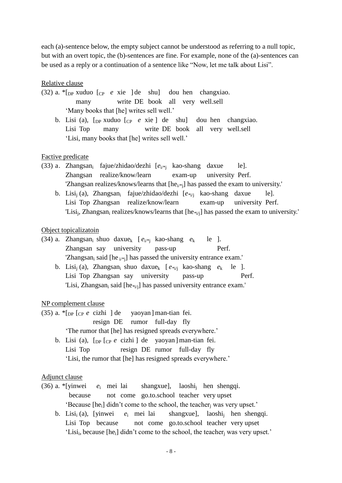each (a)-sentence below, the empty subject cannot be understood as referring to a null topic, but with an overt topic, the (b)-sentences are fine. For example, none of the (a)-sentences can be used as a reply or a continuation of a sentence like "Now, let me talk about Lisi".

## Relative clause

- (32) a. \*[DP xuduo [CP *e* xie ] de shu] dou hen changxiao. many write DE book all very well.sell 'Many books that [he] writes sell well.'
	- b. Lisi (a),  $[p \times \text{R} \cup p]$  and  $[p \mid e \times \text{R} \cup p]$  do  $[p \mid \text{R} \cup p]$  do  $[p \mid \text{R} \cup p]$  do  $[p \mid \text{R} \cup p]$  do  $[p \mid \text{R} \cup p]$  do  $[p \mid \text{R} \cup p]$  do  $[p \mid \text{R} \cup p]$  do  $[p \mid \text{R} \cup p]$  do  $[p \mid \text{R} \cup p]$  do  $[p \mid \text{R} \cup p]$  do  $[p \mid \text{$ Lisi Top many write DE book all very well.sell 'Lisi, many books that [he] writes sell well.'

### Factive predicate

- (33) a. Zhangsan<sup>i</sup> fajue/zhidao/dezhi [*e*i/\*j kao-shang daxue le]. Zhangsan realize/know/learn exam-up university Perf. 'Zhangsan realizes/knows/learns that [he<sub>i/\*i</sub>] has passed the exam to university.'
	- b. Lisi<sub>i</sub> (a), Zhangsan<sub>i</sub> fajue/zhidao/dezhi [ $e_{*j}$  kao-shang daxue le]. Lisi Top Zhangsan realize/know/learn exam-up university Perf. 'Lisi<sub>j</sub>, Zhangsan<sub>i</sub> realizes/knows/learns that [he<sub>\*i/j</sub>] has passed the exam to university.'

### Object topicalizatoin

- (34) a. Zhangsan<sub>i</sub> shuo daxue<sub>k</sub>  $[e_i, e_i]$  kao-shang  $e_k$  le ]. Zhangsan say university pass-up Perf. 'Zhangsan<sub>i</sub> said [he  $_{i\neq j}$ ] has passed the university entrance exam.' b. Lisi<sub>i</sub> (a), Zhangsan<sub>i</sub> shuo daxue<sub>k</sub>  $[e^{i\phi}$  kao-shang  $e_k$  le ].
	- Lisi Top Zhangsan say university pass-up Perf. 'Lisi, Zhangsan<sub>i</sub> said [he<sub>\*i/i</sub>] has passed university entrance exam.'

### NP complement clause

(35) a. \*[DP [CP *e* cizhi ] de yaoyan] man-tian fei.

resign DE rumor full-day fly

'The rumor that [he] has resigned spreads everywhere.'

b. Lisi (a), [DP [CP *e* cizhi ] de yaoyan] man-tian fei. Lisi Top resign DE rumor full-day fly 'Lisi, the rumor that [he] has resigned spreads everywhere.'

### Adjunct clause

- (36) a. \*[yinwei *e*<sup>i</sup> mei lai shangxue], laoshi<sup>j</sup> hen shengqi. because not come go.to.school teacher very upset 'Because [he<sub>i</sub>] didn't come to the school, the teacher<sub>i</sub> was very upset.'
	- b. Lisi<sup>i</sup> (a), [yinwei *e*<sup>i</sup> mei lai shangxue], laoshi<sup>j</sup> hen shengqi. Lisi Top because not come go.to.school teacher very upset 'Lisi<sub>i</sub>, because [he<sub>i</sub>] didn't come to the school, the teacher<sub>j</sub> was very upset.'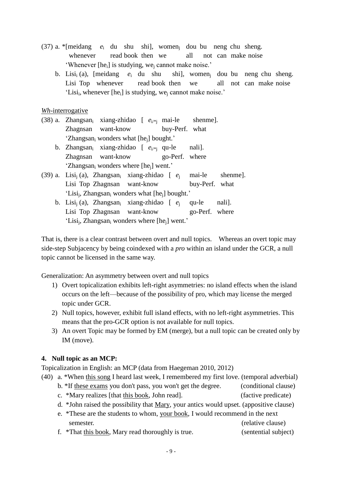- (37) a. \*[meidang  $e_i$  du shu shi], women<sub>i</sub> dou bu neng chu sheng. whenever read book then we all not can make noise 'Whenever  $[he_i]$  is studying, we<sub>i</sub> cannot make noise.'
	- b. Lisi<sup>i</sup> (a), [meidang *e*<sup>i</sup> du shu shi], women<sup>j</sup> dou bu neng chu sheng. Lisi Top whenever read book then we all not can make noise 'Lisi<sub>i</sub>, whenever [he<sub>i</sub>] is studying, we<sub>j</sub> cannot make noise.'

*Wh*-interrogative

- (38) a. Zhangsan<sub>i</sub> xiang-zhidao [  $e_{i^{*}}$  mai-le shenme]. Zhagnsan want-know buy-Perf. what 'Zhangsan<sub>i</sub> wonders what [he<sub>i</sub>] bought.'
	- b. Zhangsan<sub>i</sub> xiang-zhidao  $[$   $e_{i^{*}}$  qu-le nali]. Zhagnsan want-know go-Perf. where 'Zhangsan<sub>i</sub> wonders where  $[he_i]$  went.'
- (39) a. Lisi<sup>j</sup> (a), Zhangsan<sup>i</sup> xiang-zhidao [ *e*<sup>j</sup> mai-le shenme]. Lisi Top Zhagnsan want-know buy-Perf. what 'Lisi<sub>j</sub>, Zhangsan<sub>i</sub> wonders what [he<sub>j</sub>] bought.'
	- b. Lisi<sub>i</sub> (a), Zhangsan<sub>i</sub> xiang-zhidao [  $e_i$  qu-le nali]. Lisi Top Zhagnsan want-know go-Perf. where 'Lisi<sub>j</sub>, Zhangsan<sub>i</sub> wonders where [he<sub>j</sub>] went.'

That is, there is a clear contrast between overt and null topics. Whereas an overt topic may side-step Subjacency by being coindexed with a *pro* within an island under the GCR, a null topic cannot be licensed in the same way.

Generalization: An asymmetry between overt and null topics

- 1) Overt topicalization exhibits left-right asymmetries: no island effects when the island occurs on the left—because of the possibility of pro, which may license the merged topic under GCR.
- 2) Null topics, however, exhibit full island effects, with no left-right asymmetries. This means that the pro-GCR option is not available for null topics.
- 3) An overt Topic may be formed by EM (merge), but a null topic can be created only by IM (move).

## **4. Null topic as an MCP:**

Topicalization in English: an MCP (data from Haegeman 2010, 2012)

(40) a. \*When this song I heard last week, I remembered my first love. (temporal adverbial)

- b. \*If these exams you don't pass, you won't get the degree. (conditional clause)
- c. \*Mary realizes [that this book, John read]. (factive predicate)
- d. \*John raised the possibility that Mary, your antics would upset. (appositive clause)
- e. \*These are the students to whom, your book, I would recommend in the next semester. (relative clause)
- f. \*That this book, Mary read thoroughly is true. (sentential subject)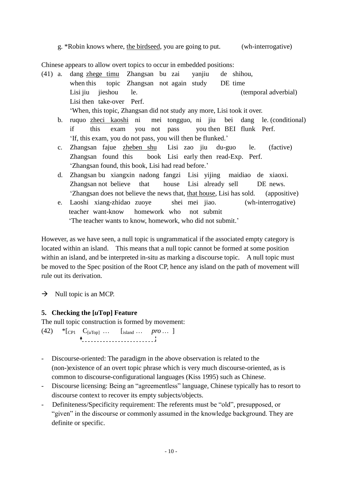g. \*Robin knows where, the birdseed, you are going to put. (wh-interrogative)

Chinese appears to allow overt topics to occur in embedded positions:

- (41) a. dang zhege timu Zhangsan bu zai yanjiu de shihou, when this topic Zhangsan not again study DE time Lisi jiu jieshou le. (temporal adverbial) Lisi then take-over Perf. 'When, this topic, Zhangsan did not study any more, Lisi took it over.
	- b. ruquo zheci kaoshi ni mei tongguo, ni jiu bei dang le. (conditional) if this exam you not pass you then BEI flunk Perf. 'If, this exam, you do not pass, you will then be flunked.'
	- c. Zhangsan fajue zheben shu Lisi zao jiu du-guo le. (factive) Zhangsan found this book Lisi early then read-Exp. Perf. 'Zhangsan found, this book, Lisi had read before.'
	- d. Zhangsan bu xiangxin nadong fangzi Lisi yijing maidiao de xiaoxi. Zhangsan not believe that house Lisi already sell DE news. 'Zhangsan does not believe the news that, that house, Lisi has sold. (appositive)
	- e. Laoshi xiang-zhidao zuoye shei mei jiao. (wh-interrogative) teacher want-know homework who not submit 'The teacher wants to know, homework, who did not submit.'

However, as we have seen, a null topic is ungrammatical if the associated empty category is located within an island. This means that a null topic cannot be formed at some position within an island, and be interpreted in-situ as marking a discourse topic. A null topic must be moved to the Spec position of the Root CP, hence any island on the path of movement will rule out its derivation.

 $\rightarrow$  Null topic is an MCP.

# **5. Checking the [***u***Top] Feature**

The null topic construction is formed by movement:

(42) \* [CP1  $C_{[uTop]} ...$  [island  $...$  *pro*  $...$  ]

- Discourse-oriented: The paradigm in the above observation is related to the (non-)existence of an overt topic phrase which is very much discourse-oriented, as is common to discourse-configurational languages (Kiss 1995) such as Chinese.
- Discourse licensing: Being an "agreementless" language, Chinese typically has to resort to discourse context to recover its empty subjects/objects.
- Definiteness/Specificity requirement: The referents must be "old", presupposed, or "given" in the discourse or commonly assumed in the knowledge background. They are definite or specific.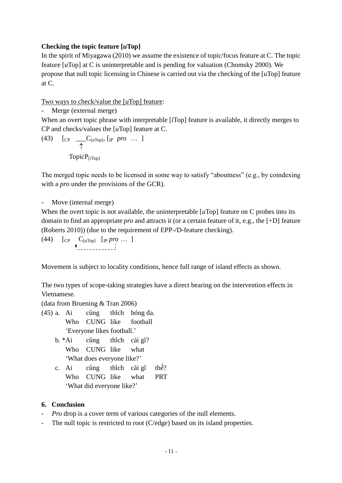# **Checking the topic feature [***u***Top]**

In the spirit of Miyagawa (2010) we assume the existence of topic/focus feature at C. The topic feature [*u*Top] at C is uninterpretable and is pending for valuation (Chomsky 2000). We propose that null topic licensing in Chinese is carried out via the checking of the [*u*Top] feature at C.

# Two ways to check/value the [*u*Top] feature:

- Merge (external merge)

When an overt topic phrase with interpretable [*i*Top] feature is available, it directly merges to CP and checks/values the [*u*Top] feature at C.

(43) [CP 
$$
\underset{\uparrow}{\longrightarrow}
$$
 C<sub>[uTop]</sub>, [IP *pro* ... ]  
TopicP<sub>[iTop]</sub>

The merged topic needs to be licensed in some way to satisfy "aboutness" (e.g., by coindexing with a *pro* under the provisions of the GCR).

```
Move (internal merge)
```
When the overt topic is not available, the uninterpretable [*u*Top] feature on C probes into its domain to find an appropriate *pro* and attracts it (or a certain feature of it, e.g., the [+D] feature (Roberts 2010)) (due to the requirement of EPP-/D-feature checking).

(44)  $\left[\begin{array}{ccc} \text{CP} & C_{[u \text{Top}]} & \text{[p } pro \dots \end{array}\right]$ 

Movement is subject to locality conditions, hence full range of island effects as shown.

The two types of scope-taking strategies have a direct bearing on the intervention effects in Vietnamese.

(data from Bruening & Tran 2006)

- (45) a. Ai cũng thích bóng da. Who CUNG like football 'Everyone likes football.'
	- b. \*Ai cũng thích cái gì? Who CUNG like what 'What does everyone like?'
	- c. Ai  $\tilde{\text{c} \text{u}}$  cung thich cái gì thế? Who CUNG like what PRT 'What did everyone like?'

# **6. Conclusion**

- *Pro* drop is a cover term of various categories of the null elements.
- The null topic is restricted to root (C/edge) based on its island properties.